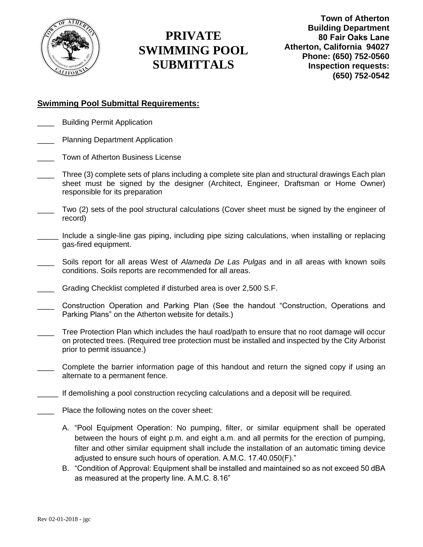

**Town of Atherton Building Department 80 Fair Oaks Lane Atherton, California 94027 Phone: (650) 752-0560 Inspection requests: (650) 752-0542**

#### **Swimming Pool Submittal Requirements:**

- Building Permit Application
- Planning Department Application
- Town of Atherton Business License
- Three (3) complete sets of plans including a complete site plan and structural drawings Each plan sheet must be signed by the designer (Architect, Engineer, Draftsman or Home Owner) responsible for its preparation
- Two (2) sets of the pool structural calculations (Cover sheet must be signed by the engineer of record)
- Include a single-line gas piping, including pipe sizing calculations, when installing or replacing gas-fired equipment.
- \_\_\_\_ Soils report for all areas West of *Alameda De Las Pulgas* and in all areas with known soils conditions. Soils reports are recommended for all areas.
- Grading Checklist completed if disturbed area is over 2,500 S.F.
- \_\_\_\_ Construction Operation and Parking Plan (See the handout "Construction, Operations and Parking Plans" on the Atherton website for details.)
- Tree Protection Plan which includes the haul road/path to ensure that no root damage will occur on protected trees. (Required tree protection must be installed and inspected by the City Arborist prior to permit issuance.)
- Complete the barrier information page of this handout and return the signed copy if using an alternate to a permanent fence.
- If demolishing a pool construction recycling calculations and a deposit will be required.
- Place the following notes on the cover sheet:
	- A. "Pool Equipment Operation: No pumping, filter, or similar equipment shall be operated between the hours of eight p.m. and eight a.m. and all permits for the erection of pumping, filter and other similar equipment shall include the installation of an automatic timing device adjusted to ensure such hours of operation. A.M.C. 17.40.050(F)."
	- B. "Condition of Approval: Equipment shall be installed and maintained so as not exceed 50 dBA as measured at the property line. A.M.C. 8.16"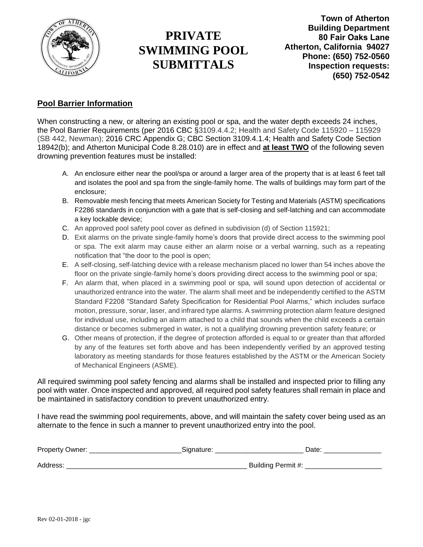

**Town of Atherton Building Department 80 Fair Oaks Lane Atherton, California 94027 Phone: (650) 752-0560 Inspection requests: (650) 752-0542**

#### **Pool Barrier Information**

When constructing a new, or altering an existing pool or spa, and the water depth exceeds 24 inches, the Pool Barrier Requirements (per 2016 CBC §3109.4.4.2; Health and Safety Code 115920 – 115929 (SB 442, Newman); 2016 CRC Appendix G; CBC Section 3109.4.1.4; Health and Safety Code Section 18942(b); and Atherton Municipal Code 8.28.010) are in effect and **at least TWO** of the following seven drowning prevention features must be installed:

- A. An enclosure either near the pool/spa or around a larger area of the property that is at least 6 feet tall and isolates the pool and spa from the single-family home. The walls of buildings may form part of the enclosure;
- B. Removable mesh fencing that meets American Society for Testing and Materials (ASTM) specifications F2286 standards in conjunction with a gate that is self-closing and self-latching and can accommodate a key lockable device;
- C. An approved pool safety pool cover as defined in subdivision (d) of Section 115921;
- D. Exit alarms on the private single-family home's doors that provide direct access to the swimming pool or spa. The exit alarm may cause either an alarm noise or a verbal warning, such as a repeating notification that "the door to the pool is open;
- E. A self-closing, self-latching device with a release mechanism placed no lower than 54 inches above the floor on the private single-family home's doors providing direct access to the swimming pool or spa;
- F. An alarm that, when placed in a swimming pool or spa, will sound upon detection of accidental or unauthorized entrance into the water. The alarm shall meet and be independently certified to the ASTM Standard F2208 "Standard Safety Specification for Residential Pool Alarms," which includes surface motion, pressure, sonar, laser, and infrared type alarms. A swimming protection alarm feature designed for individual use, including an alarm attached to a child that sounds when the child exceeds a certain distance or becomes submerged in water, is not a qualifying drowning prevention safety feature; or
- G. Other means of protection, if the degree of protection afforded is equal to or greater than that afforded by any of the features set forth above and has been independently verified by an approved testing laboratory as meeting standards for those features established by the ASTM or the American Society of Mechanical Engineers (ASME).

All required swimming pool safety fencing and alarms shall be installed and inspected prior to filling any pool with water. Once inspected and approved, all required pool safety features shall remain in place and be maintained in satisfactory condition to prevent unauthorized entry.

I have read the swimming pool requirements, above, and will maintain the safety cover being used as an alternate to the fence in such a manner to prevent unauthorized entry into the pool.

| Property Owner: | ⊃ate <sup>∙</sup>          |  |
|-----------------|----------------------------|--|
| Address         | Building Permit #:<br>- 11 |  |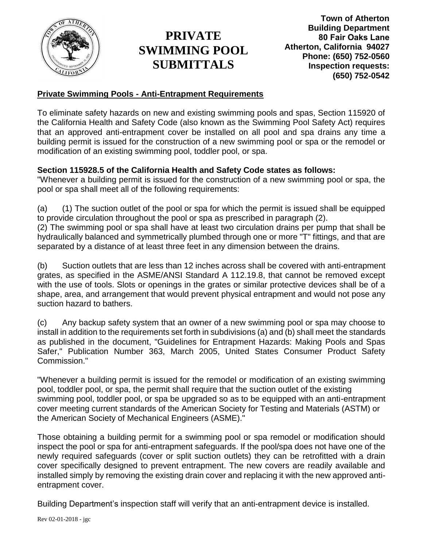

**Town of Atherton Building Department 80 Fair Oaks Lane Atherton, California 94027 Phone: (650) 752-0560 Inspection requests: (650) 752-0542**

### **Private Swimming Pools - Anti-Entrapment Requirements**

To eliminate safety hazards on new and existing swimming pools and spas, Section 115920 of the California Health and Safety Code (also known as the Swimming Pool Safety Act) requires that an approved anti-entrapment cover be installed on all pool and spa drains any time a building permit is issued for the construction of a new swimming pool or spa or the remodel or modification of an existing swimming pool, toddler pool, or spa.

### **Section 115928.5 of the California Health and Safety Code states as follows:**

"Whenever a building permit is issued for the construction of a new swimming pool or spa, the pool or spa shall meet all of the following requirements:

(a) (1) The suction outlet of the pool or spa for which the permit is issued shall be equipped to provide circulation throughout the pool or spa as prescribed in paragraph (2).

(2) The swimming pool or spa shall have at least two circulation drains per pump that shall be hydraulically balanced and symmetrically plumbed through one or more "T" fittings, and that are separated by a distance of at least three feet in any dimension between the drains.

(b) Suction outlets that are less than 12 inches across shall be covered with anti-entrapment grates, as specified in the ASME/ANSI Standard A 112.19.8, that cannot be removed except with the use of tools. Slots or openings in the grates or similar protective devices shall be of a shape, area, and arrangement that would prevent physical entrapment and would not pose any suction hazard to bathers.

(c) Any backup safety system that an owner of a new swimming pool or spa may choose to install in addition to the requirements set forth in subdivisions (a) and (b) shall meet the standards as published in the document, "Guidelines for Entrapment Hazards: Making Pools and Spas Safer," Publication Number 363, March 2005, United States Consumer Product Safety Commission."

"Whenever a building permit is issued for the remodel or modification of an existing swimming pool, toddler pool, or spa, the permit shall require that the suction outlet of the existing swimming pool, toddler pool, or spa be upgraded so as to be equipped with an anti-entrapment cover meeting current standards of the American Society for Testing and Materials (ASTM) or the American Society of Mechanical Engineers (ASME)."

Those obtaining a building permit for a swimming pool or spa remodel or modification should inspect the pool or spa for anti-entrapment safeguards. If the pool/spa does not have one of the newly required safeguards (cover or split suction outlets) they can be retrofitted with a drain cover specifically designed to prevent entrapment. The new covers are readily available and installed simply by removing the existing drain cover and replacing it with the new approved antientrapment cover.

Building Department's inspection staff will verify that an anti-entrapment device is installed.